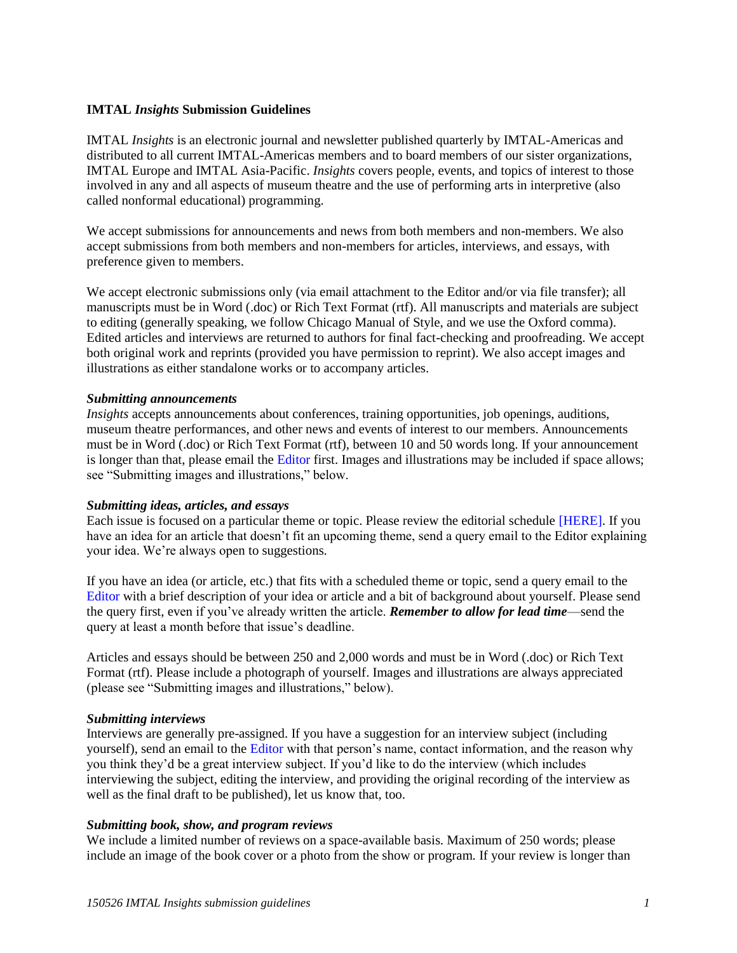# **IMTAL** *Insights* **Submission Guidelines**

IMTAL *Insights* is an electronic journal and newsletter published quarterly by IMTAL-Americas and distributed to all current IMTAL-Americas members and to board members of our sister organizations, IMTAL Europe and IMTAL Asia-Pacific. *Insights* covers people, events, and topics of interest to those involved in any and all aspects of museum theatre and the use of performing arts in interpretive (also called nonformal educational) programming.

We accept submissions for announcements and news from both members and non-members. We also accept submissions from both members and non-members for articles, interviews, and essays, with preference given to members.

We accept electronic submissions only (via email attachment to the Editor and/or via file transfer); all manuscripts must be in Word (.doc) or Rich Text Format (rtf). All manuscripts and materials are subject to editing (generally speaking, we follow Chicago Manual of Style, and we use the Oxford comma). Edited articles and interviews are returned to authors for final fact-checking and proofreading. We accept both original work and reprints (provided you have permission to reprint). We also accept images and illustrations as either standalone works or to accompany articles.

## *Submitting announcements*

*Insights* accepts announcements about conferences, training opportunities, job openings, auditions, museum theatre performances, and other news and events of interest to our members. Announcements must be in Word (.doc) or Rich Text Format (rtf), between 10 and 50 words long. If your announcement is longer than that, please email the Editor first. Images and illustrations may be included if space allows; see "Submitting images and illustrations," below.

## *Submitting ideas, articles, and essays*

Each issue is focused on a particular theme or topic. Please review the editorial schedule [HERE]. If you have an idea for an article that doesn't fit an upcoming theme, send a query email to the Editor explaining your idea. We're always open to suggestions.

If you have an idea (or article, etc.) that fits with a scheduled theme or topic, send a query email to the Editor with a brief description of your idea or article and a bit of background about yourself. Please send the query first, even if you've already written the article. *Remember to allow for lead time*—send the query at least a month before that issue's deadline.

Articles and essays should be between 250 and 2,000 words and must be in Word (.doc) or Rich Text Format (rtf). Please include a photograph of yourself. Images and illustrations are always appreciated (please see "Submitting images and illustrations," below).

#### *Submitting interviews*

Interviews are generally pre-assigned. If you have a suggestion for an interview subject (including yourself), send an email to the Editor with that person's name, contact information, and the reason why you think they'd be a great interview subject. If you'd like to do the interview (which includes interviewing the subject, editing the interview, and providing the original recording of the interview as well as the final draft to be published), let us know that, too.

## *Submitting book, show, and program reviews*

We include a limited number of reviews on a space-available basis. Maximum of 250 words; please include an image of the book cover or a photo from the show or program. If your review is longer than